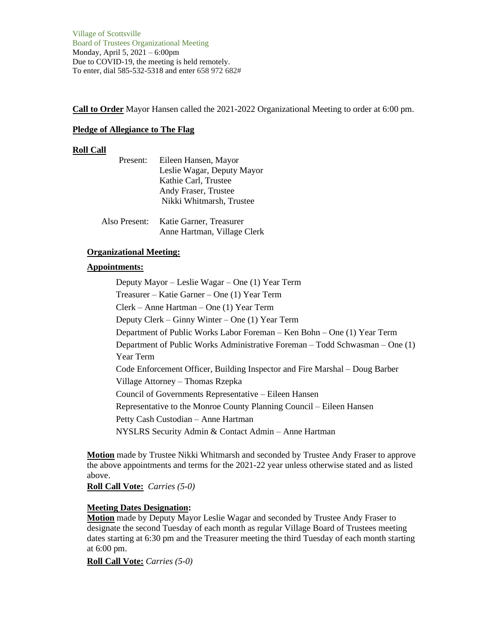Village of Scottsville Board of Trustees Organizational Meeting Monday, April 5, 2021 – 6:00pm Due to COVID-19, the meeting is held remotely. To enter, dial 585-532-5318 and enter 658 972 682#

**Call to Order** Mayor Hansen called the 2021-2022 Organizational Meeting to order at 6:00 pm.

### **Pledge of Allegiance to The Flag**

### **Roll Call**

| Present:      | Eileen Hansen, Mayor       |
|---------------|----------------------------|
|               | Leslie Wagar, Deputy Mayor |
|               | Kathie Carl, Trustee       |
|               | Andy Fraser, Trustee       |
|               | Nikki Whitmarsh, Trustee   |
|               |                            |
| Also Present: | Katie Garner, Treasurer    |

| Also Present: - | Katie Garner, Treasurer     |
|-----------------|-----------------------------|
|                 | Anne Hartman, Village Clerk |

# **Organizational Meeting:**

# **Appointments:**

Deputy Mayor – Leslie Wagar – One (1) Year Term Treasurer – Katie Garner – One (1) Year Term Clerk – Anne Hartman – One (1) Year Term Deputy Clerk – Ginny Winter – One (1) Year Term Department of Public Works Labor Foreman – Ken Bohn – One (1) Year Term Department of Public Works Administrative Foreman – Todd Schwasman – One (1) Year Term Code Enforcement Officer, Building Inspector and Fire Marshal – Doug Barber Village Attorney – Thomas Rzepka Council of Governments Representative – Eileen Hansen Representative to the Monroe County Planning Council – Eileen Hansen Petty Cash Custodian – Anne Hartman NYSLRS Security Admin & Contact Admin – Anne Hartman

**Motion** made by Trustee Nikki Whitmarsh and seconded by Trustee Andy Fraser to approve the above appointments and terms for the 2021-22 year unless otherwise stated and as listed above.

**Roll Call Vote:** *Carries (5-0)*

# **Meeting Dates Designation:**

**Motion** made by Deputy Mayor Leslie Wagar and seconded by Trustee Andy Fraser to designate the second Tuesday of each month as regular Village Board of Trustees meeting dates starting at 6:30 pm and the Treasurer meeting the third Tuesday of each month starting at 6:00 pm.

**Roll Call Vote:** *Carries (5-0)*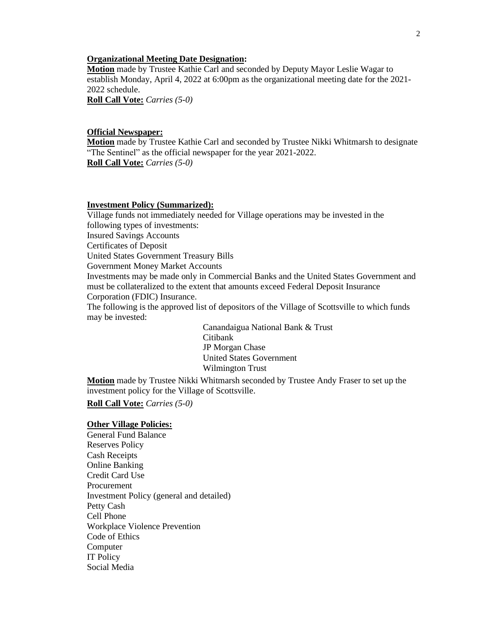### **Organizational Meeting Date Designation:**

**Motion** made by Trustee Kathie Carl and seconded by Deputy Mayor Leslie Wagar to establish Monday, April 4, 2022 at 6:00pm as the organizational meeting date for the 2021- 2022 schedule.

**Roll Call Vote:** *Carries (5-0)*

### **Official Newspaper:**

**Motion** made by Trustee Kathie Carl and seconded by Trustee Nikki Whitmarsh to designate "The Sentinel" as the official newspaper for the year 2021-2022. **Roll Call Vote:** *Carries (5-0)*

#### **Investment Policy (Summarized):**

Village funds not immediately needed for Village operations may be invested in the following types of investments: Insured Savings Accounts Certificates of Deposit

United States Government Treasury Bills

Government Money Market Accounts

Investments may be made only in Commercial Banks and the United States Government and must be collateralized to the extent that amounts exceed Federal Deposit Insurance Corporation (FDIC) Insurance.

The following is the approved list of depositors of the Village of Scottsville to which funds may be invested:

> Canandaigua National Bank & Trust Citibank JP Morgan Chase United States Government Wilmington Trust

**Motion** made by Trustee Nikki Whitmarsh seconded by Trustee Andy Fraser to set up the investment policy for the Village of Scottsville.

**Roll Call Vote:** *Carries (5-0)*

### **Other Village Policies:**

General Fund Balance Reserves Policy Cash Receipts Online Banking Credit Card Use Procurement Investment Policy (general and detailed) Petty Cash Cell Phone Workplace Violence Prevention Code of Ethics Computer IT Policy Social Media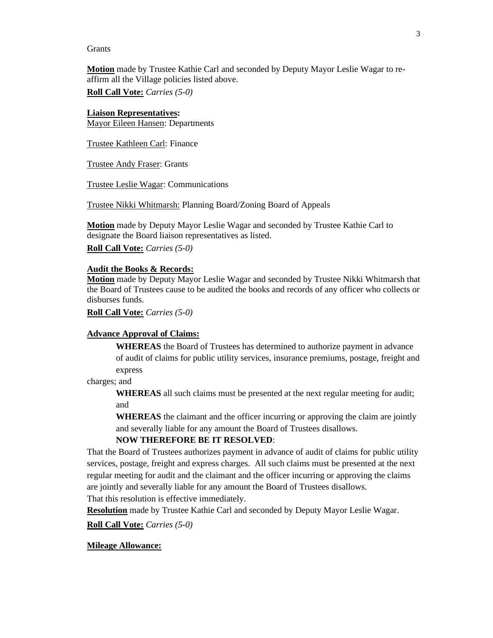### Grants

**Motion** made by Trustee Kathie Carl and seconded by Deputy Mayor Leslie Wagar to reaffirm all the Village policies listed above.

**Roll Call Vote:** *Carries (5-0)*

**Liaison Representatives:** Mayor Eileen Hansen: Departments

Trustee Kathleen Carl: Finance

Trustee Andy Fraser: Grants

Trustee Leslie Wagar: Communications

Trustee Nikki Whitmarsh: Planning Board/Zoning Board of Appeals

**Motion** made by Deputy Mayor Leslie Wagar and seconded by Trustee Kathie Carl to designate the Board liaison representatives as listed.

**Roll Call Vote:** *Carries (5-0)*

#### **Audit the Books & Records:**

**Motion** made by Deputy Mayor Leslie Wagar and seconded by Trustee Nikki Whitmarsh that the Board of Trustees cause to be audited the books and records of any officer who collects or disburses funds.

**Roll Call Vote:** *Carries (5-0)*

#### **Advance Approval of Claims:**

**WHEREAS** the Board of Trustees has determined to authorize payment in advance of audit of claims for public utility services, insurance premiums, postage, freight and express

charges; and

**WHEREAS** all such claims must be presented at the next regular meeting for audit; and

**WHEREAS** the claimant and the officer incurring or approving the claim are jointly and severally liable for any amount the Board of Trustees disallows.

# **NOW THEREFORE BE IT RESOLVED**:

That the Board of Trustees authorizes payment in advance of audit of claims for public utility services, postage, freight and express charges. All such claims must be presented at the next regular meeting for audit and the claimant and the officer incurring or approving the claims are jointly and severally liable for any amount the Board of Trustees disallows. That this resolution is effective immediately.

**Resolution** made by Trustee Kathie Carl and seconded by Deputy Mayor Leslie Wagar.

**Roll Call Vote:** *Carries (5-0)*

#### **Mileage Allowance:**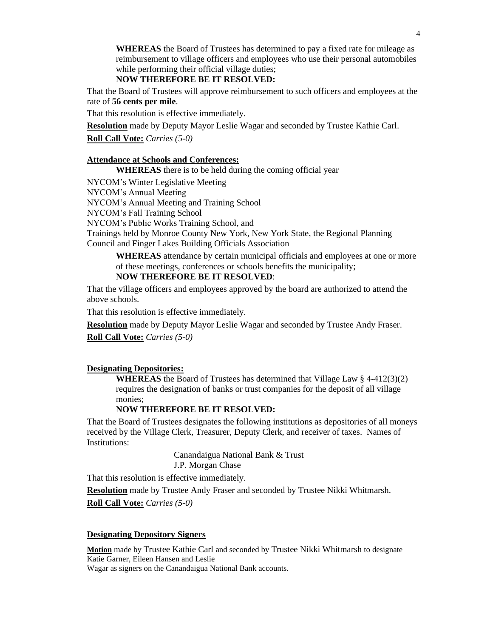**WHEREAS** the Board of Trustees has determined to pay a fixed rate for mileage as reimbursement to village officers and employees who use their personal automobiles while performing their official village duties;

# **NOW THEREFORE BE IT RESOLVED:**

That the Board of Trustees will approve reimbursement to such officers and employees at the rate of **56 cents per mile**.

That this resolution is effective immediately.

**Resolution** made by Deputy Mayor Leslie Wagar and seconded by Trustee Kathie Carl.

**Roll Call Vote:** *Carries (5-0)*

# **Attendance at Schools and Conferences:**

**WHEREAS** there is to be held during the coming official year

NYCOM's Winter Legislative Meeting

NYCOM's Annual Meeting

NYCOM's Annual Meeting and Training School

NYCOM's Fall Training School

NYCOM's Public Works Training School, and

Trainings held by Monroe County New York, New York State, the Regional Planning Council and Finger Lakes Building Officials Association

**WHEREAS** attendance by certain municipal officials and employees at one or more of these meetings, conferences or schools benefits the municipality;

# **NOW THEREFORE BE IT RESOLVED**:

That the village officers and employees approved by the board are authorized to attend the above schools.

That this resolution is effective immediately.

**Resolution** made by Deputy Mayor Leslie Wagar and seconded by Trustee Andy Fraser.

**Roll Call Vote:** *Carries (5-0)*

### **Designating Depositories:**

**WHEREAS** the Board of Trustees has determined that Village Law § 4-412(3)(2) requires the designation of banks or trust companies for the deposit of all village monies;

### **NOW THEREFORE BE IT RESOLVED:**

That the Board of Trustees designates the following institutions as depositories of all moneys received by the Village Clerk, Treasurer, Deputy Clerk, and receiver of taxes. Names of Institutions:

> Canandaigua National Bank & Trust J.P. Morgan Chase

That this resolution is effective immediately.

**Resolution** made by Trustee Andy Fraser and seconded by Trustee Nikki Whitmarsh. **Roll Call Vote:** *Carries (5-0)*

#### **Designating Depository Signers**

**Motion** made by Trustee Kathie Carl and seconded by Trustee Nikki Whitmarsh to designate Katie Garner, Eileen Hansen and Leslie Wagar as signers on the Canandaigua National Bank accounts.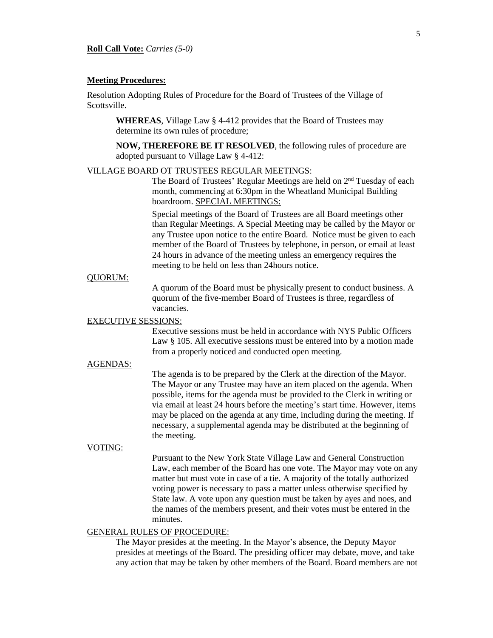#### **Meeting Procedures:**

Resolution Adopting Rules of Procedure for the Board of Trustees of the Village of Scottsville.

**WHEREAS**, Village Law § 4-412 provides that the Board of Trustees may determine its own rules of procedure;

**NOW, THEREFORE BE IT RESOLVED**, the following rules of procedure are adopted pursuant to Village Law § 4-412:

#### VILLAGE BOARD OT TRUSTEES REGULAR MEETINGS:

The Board of Trustees' Regular Meetings are held on 2<sup>nd</sup> Tuesday of each month, commencing at 6:30pm in the Wheatland Municipal Building boardroom. SPECIAL MEETINGS:

Special meetings of the Board of Trustees are all Board meetings other than Regular Meetings. A Special Meeting may be called by the Mayor or any Trustee upon notice to the entire Board. Notice must be given to each member of the Board of Trustees by telephone, in person, or email at least 24 hours in advance of the meeting unless an emergency requires the meeting to be held on less than 24hours notice.

#### QUORUM:

A quorum of the Board must be physically present to conduct business. A quorum of the five-member Board of Trustees is three, regardless of vacancies.

# EXECUTIVE SESSIONS:

Executive sessions must be held in accordance with NYS Public Officers Law § 105. All executive sessions must be entered into by a motion made from a properly noticed and conducted open meeting.

# AGENDAS:

The agenda is to be prepared by the Clerk at the direction of the Mayor. The Mayor or any Trustee may have an item placed on the agenda. When possible, items for the agenda must be provided to the Clerk in writing or via email at least 24 hours before the meeting's start time. However, items may be placed on the agenda at any time, including during the meeting. If necessary, a supplemental agenda may be distributed at the beginning of the meeting.

#### VOTING:

Pursuant to the New York State Village Law and General Construction Law, each member of the Board has one vote. The Mayor may vote on any matter but must vote in case of a tie. A majority of the totally authorized voting power is necessary to pass a matter unless otherwise specified by State law. A vote upon any question must be taken by ayes and noes, and the names of the members present, and their votes must be entered in the minutes.

# GENERAL RULES OF PROCEDURE:

The Mayor presides at the meeting. In the Mayor's absence, the Deputy Mayor presides at meetings of the Board. The presiding officer may debate, move, and take any action that may be taken by other members of the Board. Board members are not